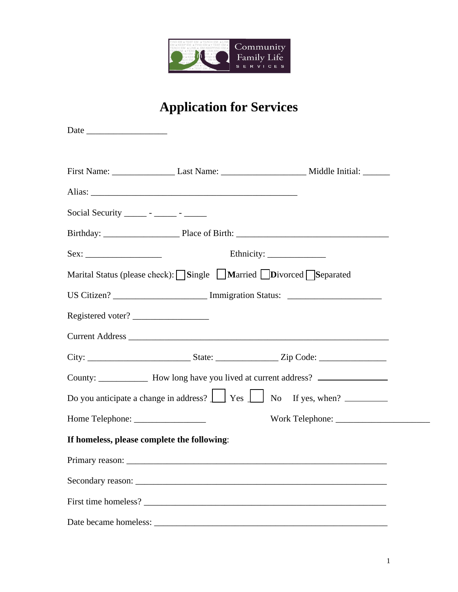

# **Application for Services**

| Social Security _______ - ______ - _______  |                                                                                                         |
|---------------------------------------------|---------------------------------------------------------------------------------------------------------|
|                                             |                                                                                                         |
|                                             |                                                                                                         |
|                                             | Marital Status (please check): Single Married Divorced Separated                                        |
|                                             | US Citizen? ________________________ Immigration Status: _______________________                        |
| Registered voter?                           |                                                                                                         |
|                                             |                                                                                                         |
|                                             |                                                                                                         |
|                                             | County: ________________ How long have you lived at current address? ____________                       |
|                                             | Do you anticipate a change in address? $\boxed{\phantom{a}}$ Yes $\boxed{\phantom{a}}$ No If yes, when? |
|                                             |                                                                                                         |
| If homeless, please complete the following: |                                                                                                         |
| Primary reason: __________                  |                                                                                                         |
|                                             |                                                                                                         |
|                                             | First time homeless?                                                                                    |
|                                             |                                                                                                         |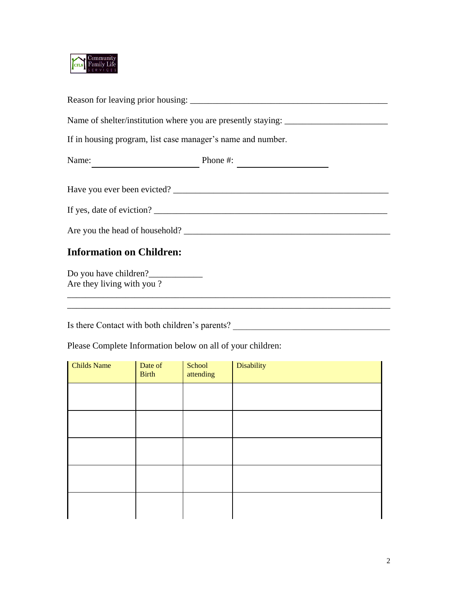

| If in housing program, list case manager's name and number.                                                                                                                                                                                                                                                                                                                                                                                       |                                      |  |  |  |
|---------------------------------------------------------------------------------------------------------------------------------------------------------------------------------------------------------------------------------------------------------------------------------------------------------------------------------------------------------------------------------------------------------------------------------------------------|--------------------------------------|--|--|--|
| Name: $\frac{1}{\sqrt{1-\frac{1}{2}} \cdot \frac{1}{2} \cdot \frac{1}{2} \cdot \frac{1}{2} \cdot \frac{1}{2} \cdot \frac{1}{2} \cdot \frac{1}{2} \cdot \frac{1}{2} \cdot \frac{1}{2} \cdot \frac{1}{2} \cdot \frac{1}{2} \cdot \frac{1}{2} \cdot \frac{1}{2} \cdot \frac{1}{2} \cdot \frac{1}{2} \cdot \frac{1}{2} \cdot \frac{1}{2} \cdot \frac{1}{2} \cdot \frac{1}{2} \cdot \frac{1}{2} \cdot \frac{1}{2} \cdot \frac{1}{2} \cdot \frac{1}{2}$ | Phone #: $\overline{\qquad \qquad }$ |  |  |  |
|                                                                                                                                                                                                                                                                                                                                                                                                                                                   |                                      |  |  |  |
| If yes, date of eviction?                                                                                                                                                                                                                                                                                                                                                                                                                         |                                      |  |  |  |
|                                                                                                                                                                                                                                                                                                                                                                                                                                                   |                                      |  |  |  |
| <b>Information on Children:</b>                                                                                                                                                                                                                                                                                                                                                                                                                   |                                      |  |  |  |
| Are they living with you?                                                                                                                                                                                                                                                                                                                                                                                                                         |                                      |  |  |  |

Is there Contact with both children's parents? \_\_\_\_\_\_\_\_\_\_\_\_\_\_\_\_\_\_\_\_\_\_\_\_\_\_\_\_\_\_\_\_\_\_

Please Complete Information below on all of your children:

| <b>Childs Name</b> | Date of<br><b>Birth</b> | School<br>attending | Disability |
|--------------------|-------------------------|---------------------|------------|
|                    |                         |                     |            |
|                    |                         |                     |            |
|                    |                         |                     |            |
|                    |                         |                     |            |
|                    |                         |                     |            |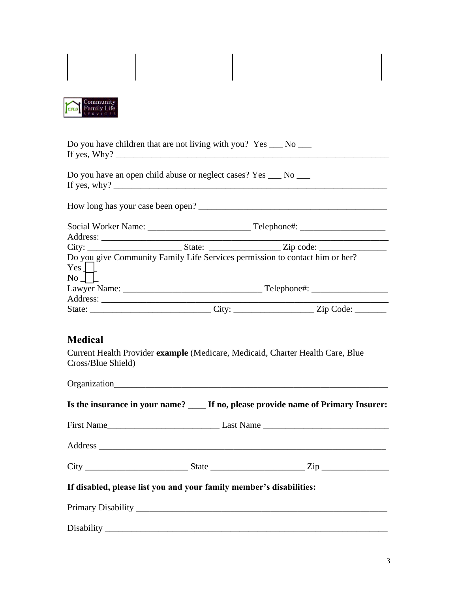| Community<br>Family Life<br><b>CFLS</b>                                                                                                                                                                                                                                                                                                                                                |  |                                                                                    |  |
|----------------------------------------------------------------------------------------------------------------------------------------------------------------------------------------------------------------------------------------------------------------------------------------------------------------------------------------------------------------------------------------|--|------------------------------------------------------------------------------------|--|
| Do you have children that are not living with you? $Yes \_\_No \_\_$                                                                                                                                                                                                                                                                                                                   |  |                                                                                    |  |
| Do you have an open child abuse or neglect cases? Yes ___ No ___<br>If yes, why? $\frac{1}{2}$ $\frac{1}{2}$ $\frac{1}{2}$ $\frac{1}{2}$ $\frac{1}{2}$ $\frac{1}{2}$ $\frac{1}{2}$ $\frac{1}{2}$ $\frac{1}{2}$ $\frac{1}{2}$ $\frac{1}{2}$ $\frac{1}{2}$ $\frac{1}{2}$ $\frac{1}{2}$ $\frac{1}{2}$ $\frac{1}{2}$ $\frac{1}{2}$ $\frac{1}{2}$ $\frac{1}{2}$ $\frac{1}{2}$ $\frac{1}{2}$ |  |                                                                                    |  |
|                                                                                                                                                                                                                                                                                                                                                                                        |  | How long has your case been open?                                                  |  |
|                                                                                                                                                                                                                                                                                                                                                                                        |  |                                                                                    |  |
| $Yes \mid$<br>$\overline{N_0}$                                                                                                                                                                                                                                                                                                                                                         |  | Do you give Community Family Life Services permission to contact him or her?       |  |
|                                                                                                                                                                                                                                                                                                                                                                                        |  |                                                                                    |  |
| <b>Medical</b><br>Cross/Blue Shield)                                                                                                                                                                                                                                                                                                                                                   |  | Current Health Provider example (Medicare, Medicaid, Charter Health Care, Blue     |  |
|                                                                                                                                                                                                                                                                                                                                                                                        |  | Is the insurance in your name? ____ If no, please provide name of Primary Insurer: |  |
|                                                                                                                                                                                                                                                                                                                                                                                        |  |                                                                                    |  |
|                                                                                                                                                                                                                                                                                                                                                                                        |  |                                                                                    |  |
|                                                                                                                                                                                                                                                                                                                                                                                        |  |                                                                                    |  |
| If disabled, please list you and your family member's disabilities:                                                                                                                                                                                                                                                                                                                    |  |                                                                                    |  |
|                                                                                                                                                                                                                                                                                                                                                                                        |  |                                                                                    |  |
|                                                                                                                                                                                                                                                                                                                                                                                        |  |                                                                                    |  |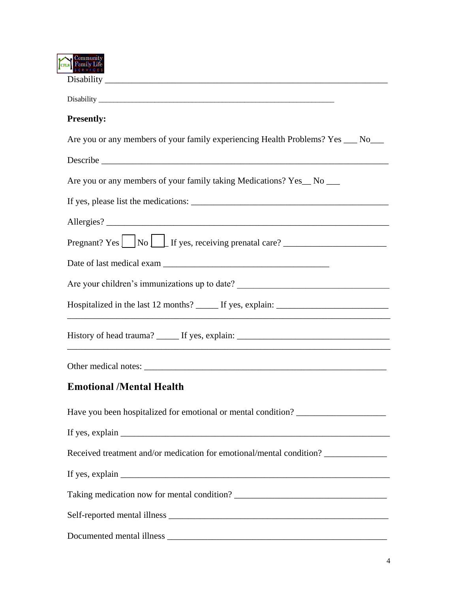| CFLS Family Life                                                                  |  |
|-----------------------------------------------------------------------------------|--|
|                                                                                   |  |
| <b>Presently:</b>                                                                 |  |
| Are you or any members of your family experiencing Health Problems? Yes ___ No___ |  |
|                                                                                   |  |
| Are you or any members of your family taking Medications? Yes_No __               |  |
|                                                                                   |  |
|                                                                                   |  |
| Pregnant? Yes $\Box$ No $\Box$ If yes, receiving prenatal care? $\Box$            |  |
|                                                                                   |  |
| Are your children's immunizations up to date? __________________________________  |  |
| Hospitalized in the last 12 months? ______ If yes, explain: _____________________ |  |
| History of head trauma? _______ If yes, explain: ________________________________ |  |
|                                                                                   |  |
| <b>Emotional /Mental Health</b>                                                   |  |
| Have you been hospitalized for emotional or mental condition? ___________________ |  |
|                                                                                   |  |
| Received treatment and/or medication for emotional/mental condition? ___________  |  |
|                                                                                   |  |
|                                                                                   |  |
|                                                                                   |  |
|                                                                                   |  |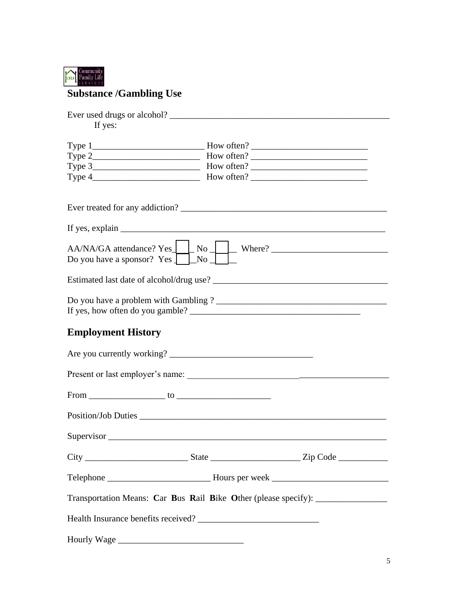

# **Substance /Gambling Use**

| If yes:                                                                                            |
|----------------------------------------------------------------------------------------------------|
|                                                                                                    |
|                                                                                                    |
|                                                                                                    |
| $\Box$ No $\Box$ Where? $\Box$<br>$AA/NA/GA$ attendance? Yes<br>Do you have a sponsor? Yes J<br>No |
|                                                                                                    |
|                                                                                                    |
| <b>Employment History</b>                                                                          |
| Are you currently working?                                                                         |
| Present or last employer's name:                                                                   |
|                                                                                                    |
|                                                                                                    |
| Supervisor                                                                                         |
|                                                                                                    |
|                                                                                                    |
| Transportation Means: Car Bus Rail Bike Other (please specify): _________________                  |
|                                                                                                    |
|                                                                                                    |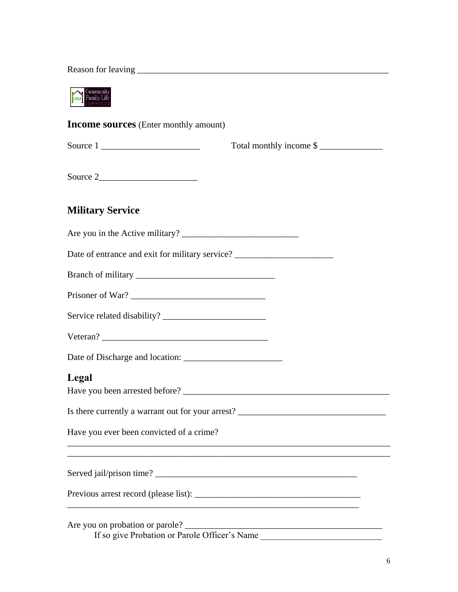Reason for leaving \_\_\_\_\_\_\_\_\_\_\_\_\_\_\_\_\_\_\_\_\_\_\_\_\_\_\_\_\_\_\_\_\_\_\_\_\_\_\_\_\_\_\_\_\_\_\_\_\_\_\_\_\_\_\_\_

Community<br>
Family Life

**Income sources** (Enter monthly amount)

|                                                                                   | Total monthly income \$                           |
|-----------------------------------------------------------------------------------|---------------------------------------------------|
|                                                                                   |                                                   |
| <b>Military Service</b>                                                           |                                                   |
|                                                                                   |                                                   |
| Date of entrance and exit for military service? _________________________________ |                                                   |
|                                                                                   |                                                   |
| Prisoner of War?                                                                  |                                                   |
|                                                                                   |                                                   |
|                                                                                   |                                                   |
|                                                                                   |                                                   |
| Legal                                                                             | Is there currently a warrant out for your arrest? |
| Have you ever been convicted of a crime?                                          |                                                   |
|                                                                                   |                                                   |
|                                                                                   |                                                   |

Are you on probation or parole? \_\_\_\_\_\_\_\_\_\_\_\_\_\_\_\_\_\_\_\_\_\_\_\_\_\_\_\_\_\_\_\_\_\_\_\_\_\_\_\_\_\_\_\_ If so give Probation or Parole Officer's Name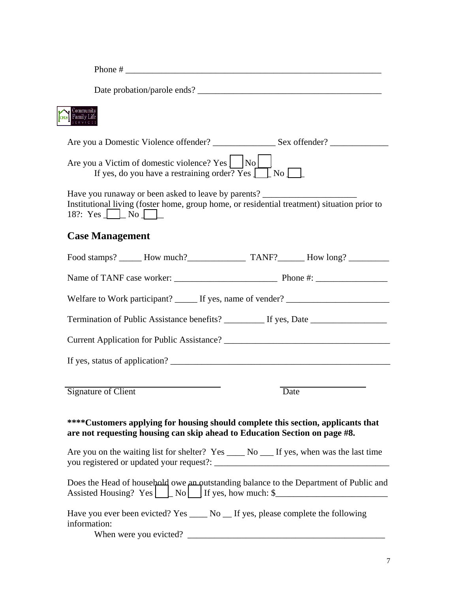| Community<br>Family Life<br>services                                                                                                                                                                            |      |
|-----------------------------------------------------------------------------------------------------------------------------------------------------------------------------------------------------------------|------|
|                                                                                                                                                                                                                 |      |
| Are you a Victim of domestic violence? Yes $ $ $ $ No $ $<br>If yes, do you have a restraining order? $Yes \Box$ No $\Box$                                                                                      |      |
| Have you runaway or been asked to leave by parents? _____________________________<br>Institutional living (foster home, group home, or residential treatment) situation prior to<br>18?: Yes $\perp$ No $\perp$ |      |
| <b>Case Management</b>                                                                                                                                                                                          |      |
|                                                                                                                                                                                                                 |      |
|                                                                                                                                                                                                                 |      |
| Welfare to Work participant? ______ If yes, name of vender? _____________________                                                                                                                               |      |
| Termination of Public Assistance benefits? __________ If yes, Date ______________                                                                                                                               |      |
|                                                                                                                                                                                                                 |      |
|                                                                                                                                                                                                                 |      |
| <b>Signature of Client</b>                                                                                                                                                                                      | Date |
| ****Customers applying for housing should complete this section, applicants that<br>are not requesting housing can skip ahead to Education Section on page #8.                                                  |      |
| Are you on the waiting list for shelter? Yes _____ No ____ If yes, when was the last time                                                                                                                       |      |
| Does the Head of household owe an outstanding balance to the Department of Public and<br>Assisted Housing? $Yes \bigsqcup No \bigsqcup If yes, how much: $ \fbox{\texttt{if}} $$                                |      |
| Have you ever been evicted? Yes _____ No __ If yes, please complete the following<br>information:                                                                                                               |      |

When were you evicted? \_\_\_\_\_\_\_\_\_\_\_\_\_\_\_\_\_\_\_\_\_\_\_\_\_\_\_\_\_\_\_\_\_\_\_\_\_\_\_\_\_\_\_\_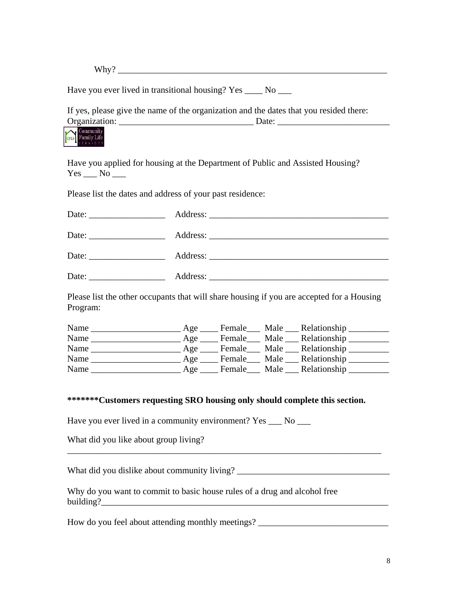Why? \_\_\_\_\_\_\_\_\_\_\_\_\_\_\_\_\_\_\_\_\_\_\_\_\_\_\_\_\_\_\_\_\_\_\_\_\_\_\_\_\_\_\_\_\_\_\_\_\_\_\_\_\_\_\_\_\_\_\_\_

Have you ever lived in transitional housing? Yes \_\_\_\_ No \_\_\_

If yes, please give the name of the organization and the dates that you resided there: Organization: \_\_\_\_\_\_\_\_\_\_\_\_\_\_\_\_\_\_\_\_\_\_\_\_\_\_\_\_\_\_ Date: \_\_\_\_\_\_\_\_\_\_\_\_\_\_\_\_\_\_\_\_\_\_\_\_\_



Have you applied for housing at the Department of Public and Assisted Housing?  $Yes$   $No$   $\_\_$ 

Please list the dates and address of your past residence:

| Date: $\qquad \qquad$ |  |
|-----------------------|--|
| Date:                 |  |

Please list the other occupants that will share housing if you are accepted for a Housing Program:

| Name                                                      |  | Age ______ Female______ Male _____ Relationship ____________ |
|-----------------------------------------------------------|--|--------------------------------------------------------------|
| Name                                                      |  | Age ______ Female_____ Male _____ Relationship ___________   |
| Name                                                      |  | Age ______ Female______ Male _____ Relationship ___________  |
| Name                                                      |  | Age ______ Female_____ Male _____ Relationship __________    |
| Name<br><u> 1980 - Jan Samuel Barbara, político e a f</u> |  | Age ______ Female______ Male _____ Relationship ___________  |

#### **\*\*\*\*\*\*\*Customers requesting SRO housing only should complete this section.**

Have you ever lived in a community environment? Yes \_\_\_ No \_\_\_

What did you like about group living?

What did you dislike about community living? \_\_\_\_\_\_\_\_\_\_\_\_\_\_\_\_\_\_\_\_\_\_\_\_\_\_\_\_\_\_\_\_\_\_\_

\_\_\_\_\_\_\_\_\_\_\_\_\_\_\_\_\_\_\_\_\_\_\_\_\_\_\_\_\_\_\_\_\_\_\_\_\_\_\_\_\_\_\_\_\_\_\_\_\_\_\_\_\_\_\_\_\_\_\_\_\_\_\_\_\_\_\_\_\_\_

Why do you want to commit to basic house rules of a drug and alcohol free building? $\frac{1}{2}$ 

How do you feel about attending monthly meetings? \_\_\_\_\_\_\_\_\_\_\_\_\_\_\_\_\_\_\_\_\_\_\_\_\_\_\_\_\_\_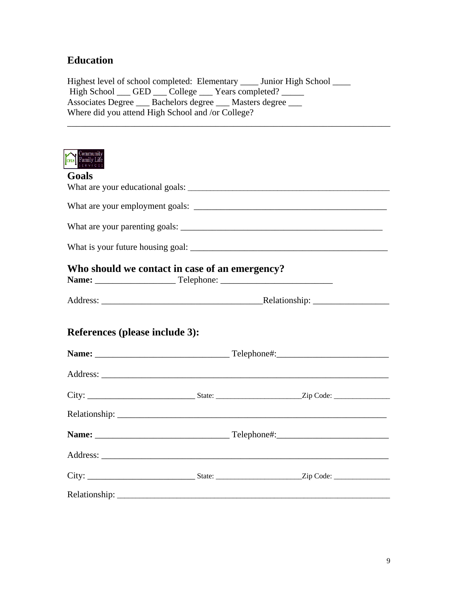## **Education**

Highest level of school completed: Elementary \_\_\_\_ Junior High School \_\_\_\_ High School \_\_\_ GED \_\_\_ College \_\_\_ Years completed? \_\_\_\_\_ Associates Degree \_\_\_ Bachelors degree \_\_\_ Masters degree \_\_\_ Where did you attend High School and /or College?

\_\_\_\_\_\_\_\_\_\_\_\_\_\_\_\_\_\_\_\_\_\_\_\_\_\_\_\_\_\_\_\_\_\_\_\_\_\_\_\_\_\_\_\_\_\_\_\_\_\_\_\_\_\_\_\_\_\_\_\_\_\_\_\_\_\_\_\_\_\_\_\_



| SERVICES.                             |                                                |  |
|---------------------------------------|------------------------------------------------|--|
| Goals                                 |                                                |  |
|                                       |                                                |  |
|                                       |                                                |  |
|                                       |                                                |  |
|                                       |                                                |  |
|                                       | Who should we contact in case of an emergency? |  |
|                                       |                                                |  |
| <b>References (please include 3):</b> |                                                |  |
|                                       |                                                |  |
|                                       |                                                |  |
|                                       |                                                |  |
|                                       |                                                |  |
|                                       |                                                |  |
|                                       |                                                |  |
|                                       |                                                |  |